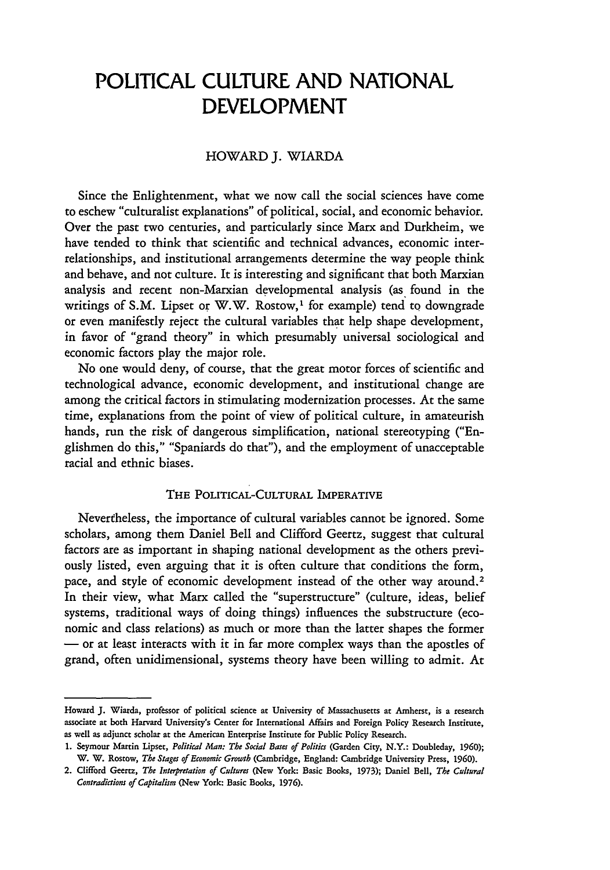# **POLITICAL CULTURE AND NATIONAL DEVELOPMENT**

## HOWARD J. WIARDA

Since the Enlightenment, what we now call the social sciences have come to eschew "culturalist explanations" of political, social, and economic behavior. Over the past two centuries, and particularly since Marx and Durkheim, we have tended to think that scientific and technical advances, economic interrelationships, and institutional arrangements determine the way people think and behave, and not culture. It is interesting and significant that both Marxian analysis and recent non-Marxian developmental analysis (as found in the writings of S.M. Lipset or W.W. Rostow,<sup>1</sup> for example) tend to downgrade or even manifestly reject the cultural variables that help shape development, in favor of "grand theory" in which presumably universal sociological and economic factors play the major role.

No one would deny, of course, that the great motor forces of scientific and technological advance, economic development, and institutional change are among the critical factors in stimulating modernization processes. At the same time, explanations from the point of view of political culture, in amateurish hands, run the risk of dangerous simplification, national stereotyping ("Englishmen do this," "Spaniards do that"), and the employment of unacceptable racial and ethnic biases.

## **THE POLITICAL-CULTURAL IMPERATIVE**

Nevertheless, the importance of cultural variables cannot be ignored. Some scholars, among them Daniel Bell and Clifford Geertz, suggest that cultural factors are as important in shaping national development as the others previously listed, even arguing that it is often culture that conditions the form, pace, and style of economic development instead of the other way around.<sup>2</sup> In their view, what Marx called the "superstructure" (culture, ideas, belief systems, traditional ways of doing things) influences the substructure (economic and class relations) as much or more than the latter shapes the former **-** or at least interacts with it in far more complex ways than the apostles of grand, often unidimensional, systems theory have been willing to admit. At

Howard **J.** Wiarda, professor of political science at University of Massachusetts at Amherst, is a research associate at both Harvard University's Center for International Affairs and Foreign Policy Research Institute, as well as adjunct scholar at the American Enterprise Institute for Public Policy Research.

<sup>1.</sup> Seymour Martin Lipset, *Political Man: The Social Bases of Politics* (Garden City, N.Y.: Doubleday, 1960); W. W. Rostow, *The Stages of Economic Growth* (Cambridge, England: Cambridge University Press, 1960).

<sup>2.</sup> Clifford Geertz, *The Interpretation of Cultures* (New York: Basic Books, 1973); Daniel Bell, *The Cultural Contradictions of Capitalism* (New York: Basic Books, 1976).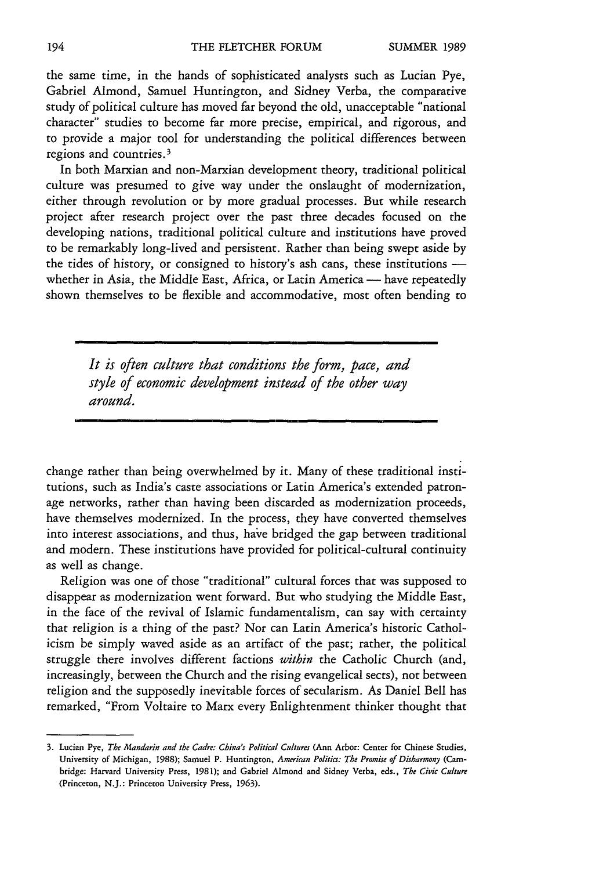the same time, in the hands of sophisticated analysts such as Lucian Pye, Gabriel Almond, Samuel Huntington, and Sidney Verba, the comparative study of political culture has moved far beyond the old, unacceptable "national character" studies to become far more precise, empirical, and rigorous, and to provide a major tool for understanding the political differences between regions and countries. <sup>3</sup>

In both Marxian and non-Marxian development theory, traditional political culture was presumed to give way under the onslaught of modernization, either through revolution or by more gradual processes. But while research project after research project over the past three decades focused on the developing nations, traditional political culture and institutions have proved to be remarkably long-lived and persistent. Rather than being swept aside by the tides of history, or consigned to history's ash cans, these institutions whether in Asia, the Middle East, Africa, or Latin America - have repeatedly shown themselves to be flexible and accommodative, most often bending to

> *It is often culture that conditions the form, pace, and style of economic development instead of the other way around.*

change rather than being overwhelmed by it. Many of these traditional institutions, such as India's caste associations or Latin America's extended patronage networks, rather than having been discarded as modernization proceeds, have themselves modernized. In the process, they have converted themselves into interest associations, and thus, have bridged the gap between traditional and modern. These institutions have provided for political-cultural continuity as well as change.

Religion was one of those "traditional" cultural forces that was supposed to disappear as modernization went forward. But who studying the Middle East, in the face of the revival of Islamic fundamentalism, can say with certainty that religion is a thing of the past? Nor can Latin America's historic Catholicism be simply waved aside as an artifact of the past; rather, the political struggle there involves different factions *within* the Catholic Church (and, increasingly, between the Church and the rising evangelical sects), not between religion and the supposedly inevitable forces of secularism. As Daniel Bell has remarked, "From Voltaire to Marx every Enlightenment thinker thought that

**<sup>3.</sup>** Lucian Pye, *The Mandarin and the Cadre: China's Political Cultures* (Ann Arbor: Center **for** Chinese Studies, University **of** Michigan, **1988);** Samuel P. Huntington, *American Politics: The Promise of Disharmony (Cam*bridge: Harvard University Press, **1981); and** Gabriel Almond and Sidney Verba, eds., *The Civic Culture* (Princeton, **N.J.:** Princeton University Press, **1963).**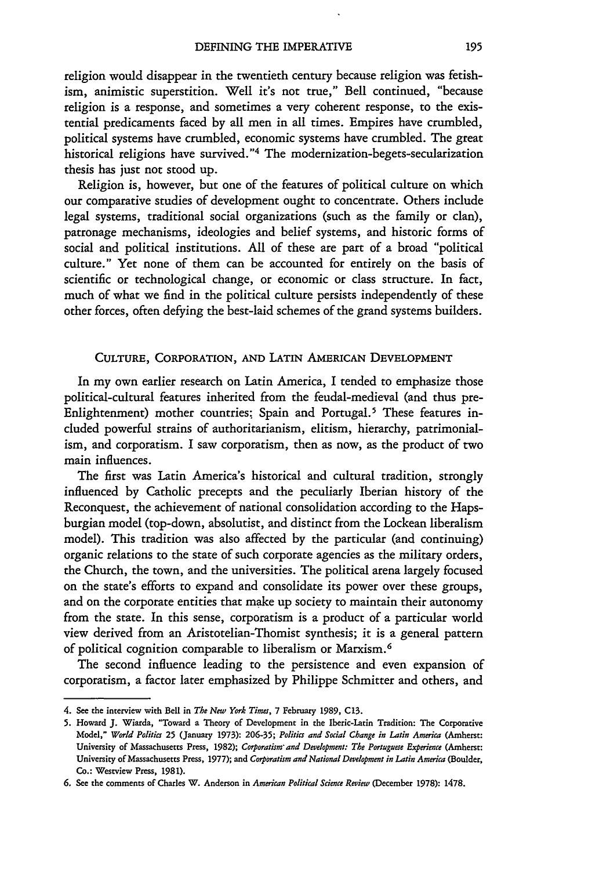religion would disappear in the twentieth century because religion was fetishism, animistic superstition. Well it's not true," Bell continued, "because religion is a response, and sometimes a very coherent response, to the existential predicaments faced by all men in all times. Empires have crumbled, political systems have crumbled, economic systems have crumbled. The great historical religions have survived."<sup>4</sup> The modernization-begets-secularization thesis has just not stood up.

Religion is, however, but one of the features of political culture on which our comparative studies of development ought to concentrate. Others include legal systems, traditional social organizations (such as the family or clan), patronage mechanisms, ideologies and belief systems, and historic forms of social and political institutions. All of these are part of a broad "political culture." Yet none of them can be accounted for entirely on the basis of scientific or technological change, or economic or class structure. In fact, much of what we find in the political culture persists independently of these other forces, often defying the best-laid schemes of the grand systems builders.

### **CULTURE,** CORPORATION, **AND LATIN** AMERICAN **DEVELOPMENT**

In my own earlier research on Latin America, I tended to emphasize those political-cultural features inherited from the feudal-medieval (and thus pre-Enlightenment) mother countries; Spain and Portugal.<sup>5</sup> These features included powerful strains of authoritarianism, elitism, hierarchy, patrimonialism, and corporatism. I saw corporatism, then as now, as the product of two main influences.

The first was Latin America's historical and cultural tradition, strongly influenced by Catholic precepts and the peculiarly Iberian history of the Reconquest, the achievement of national consolidation according to the Hapsburgian model (top-down, absolutist, and distinct from the Lockean liberalism model). This tradition was also affected by the particular (and continuing) organic relations to the state of such corporate agencies as the military orders, the Church, the town, and the universities. The political arena largely focused on the state's efforts to expand and consolidate its power over these groups, and on the corporate entities that make up society to maintain their autonomy from the state. In this sense, corporatism is a product of a particular world view derived from an Aristotelian-Thomist synthesis; it is a general pattern of political cognition comparable to liberalism or Marxism. <sup>6</sup>

The second influence leading to the persistence and even expansion of corporatism, a factor later emphasized by Philippe Schmitter and others, and

<sup>4.</sup> See the interview with Bell in *The New York Times,* 7 February **1989, C13.**

**<sup>5.</sup>** Howard J. Wiarda, "Toward a Theory of Development in the Iberic-Latin Tradition: The Corporative Model," *World Politics* 25 (January 1973): 206-35; *Politics and Social Change in Latin America* (Amherst: University of Massachusetts Press, 1982); *Corporatism'and Development: The Portuguese Experience* (Amherst: University of Massachusetts Press, 1977); and *Corporatism and National Development in Latin America* (Boulder, Co.: Wesrview Press, 1981).

**<sup>6.</sup>** See the comments of Charles W. Anderson in *American Political Science Review* (December 1978): 1478.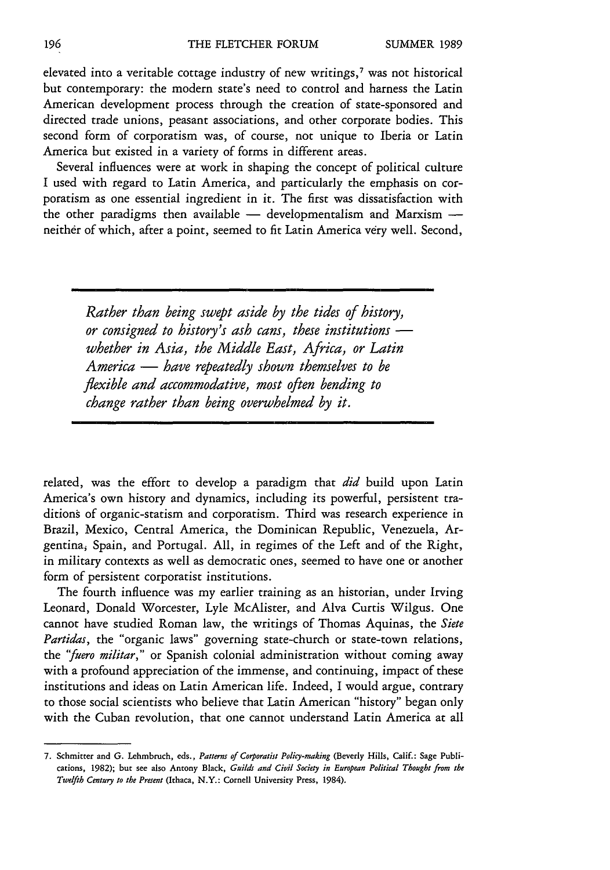elevated into a veritable cottage industry of new writings, $<sup>7</sup>$  was not historical</sup> but contemporary: the modern state's need to control and harness the Latin American development process through the creation of state-sponsored and directed trade unions, peasant associations, and other corporate bodies. This second form of corporatism was, of course, not unique to Iberia or Latin America but existed in a variety of forms in different areas.

Several influences were at work in shaping the concept of political culture I used with regard to Latin America, and particularly the emphasis on corporatism as one essential ingredient in it. The first was dissatisfaction with the other paradigms then available - developmentalism and Marxism neither of which, after a point, seemed to fit Latin America very well. Second,

*Rather than being swept aside by the tides of history, or consigned to history's ash cans, these institutions whether in Asia, the Middle East, Africa, or Latin America* - *have repeatedly shown themselves to be flexible and accommodative, most often bending to change rather than being overwhelmed by it.*

related, was the effort to develop a paradigm that *did* build upon Latin America's own history and dynamics, including its powerful, persistent traditions of organic-statism and corporatism. Third was research experience in Brazil, Mexico, Central America, the Dominican Republic, Venezuela, Argentina, Spain, and Portugal. All, in regimes of the Left and of the Right, in military contexts as well as democratic ones, seemed to have one or another form of persistent corporatist institutions.

The fourth influence was my earlier training as an historian, under Irving Leonard, Donald Worcester, Lyle McAlister, and Alva Curtis Wilgus. One cannot have studied Roman law, the writings of Thomas Aquinas, the *Siete Partidas,* the "organic laws" governing state-church or state-town relations, the *"fuero militar,"* or Spanish colonial administration without coming away with a profound appreciation of the immense, and continuing, impact of these institutions and ideas on Latin American life. Indeed, I would argue, contrary to those social scientists who believe that Latin American "history" began only with the Cuban revolution, that one cannot understand Latin America at all

**<sup>7.</sup>** Schmitter **and G.** Lehmbruch, eds., *Patterns of Corporatist Policy-making* (Beverly Hills, Calif.: Sage Publications, **1982);** but see **also** Antony Black, *Guilds and Civil Society in European Political Thought from the Twelfth Century to the Present* **(Ithaca,** N.Y.: Cornell University Press, 1984).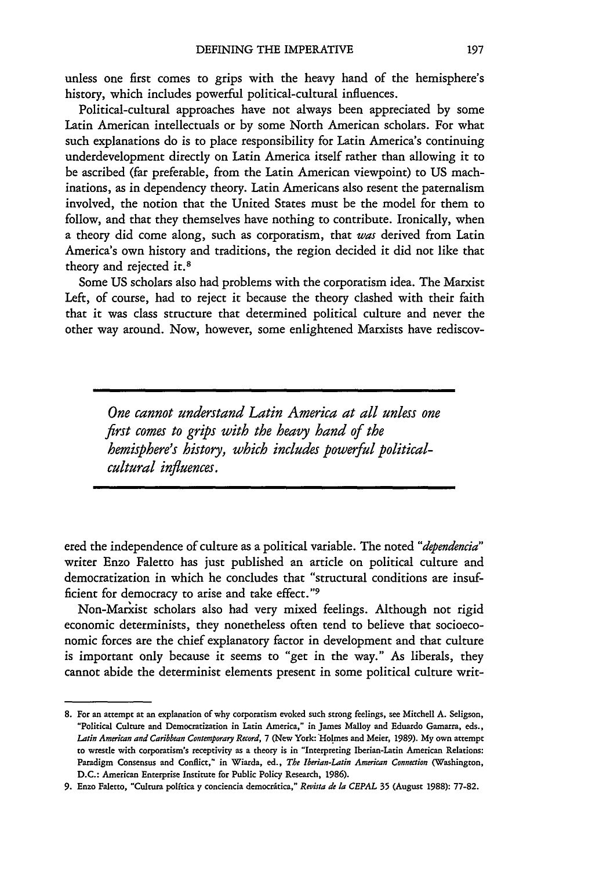unless one first comes to grips with the heavy hand of the hemisphere's history, which includes powerful political-cultural influences.

Political-cultural approaches have not always been appreciated by some Latin American intellectuals or by some North American scholars. For what such explanations do is to place responsibility for Latin America's continuing underdevelopment directly on Latin America itself rather than allowing it to be ascribed (far preferable, from the Latin American viewpoint) to **US** machinations, as in dependency theory. Latin Americans also resent the paternalism involved, the notion that the United States must be the model for them to follow, and that they themselves have nothing to contribute. Ironically, when a theory did come along, such as corporatism, that *was* derived from Latin America's own history and traditions, the region decided it did not like that theory and rejected it.<sup>8</sup>

Some **US** scholars also had problems with the corporatism idea. The Marxist Left, of course, had to reject it because the theory clashed with their faith that it was class structure that determined political culture and never the other way around. Now, however, some enlightened Marxists have rediscov-

*One cannot understand Latin America at all unless one first comes to grips with the heavy hand of the hemisphere's history, which includes powerful politicalcultural influences.*

ered the independence of culture as a political variable. The noted *"dependencia"* writer Enzo Faletto has just published an article on political culture and democratization in which he concludes that "structural conditions are insufficient for democracy to arise and take effect. "

Non-Marxist scholars also had very mixed feelings. Although not rigid economic determinists, they nonetheless often tend to believe that socioeconomic forces are the chief explanatory factor in development and that culture is important only because it seems to "get in the way." As liberals, they cannot abide the determinist elements present in some political culture writ-

<sup>8.</sup> For an attempt at an explanation of why corporatism evoked such strong feelings, see Mitchell A. Seligson, "Political Culture and Democratization in Latin America," in James Malloy and Eduardo Gamarra, eds., *Latin American and Caribbean Contemporary Record,* 7 (New York: Holmes and Meier, 1989). My own attempt to wrestle with corporatism's receptivity as a theory is in "Interpreting Iberian-Latin American Relations: Paradigm Consensus and Conflict," in Wiarda, ed., *The Iberian-Latin American Connection* (Washington, D.C.: American Enterprise Institute for Public Policy Research, 1986).

**<sup>9.</sup>** Enzo Faletto, "Cultura polftica y conciencia democritica," *Revista de* la *CEPAL* 35 (August 1988): 77-82.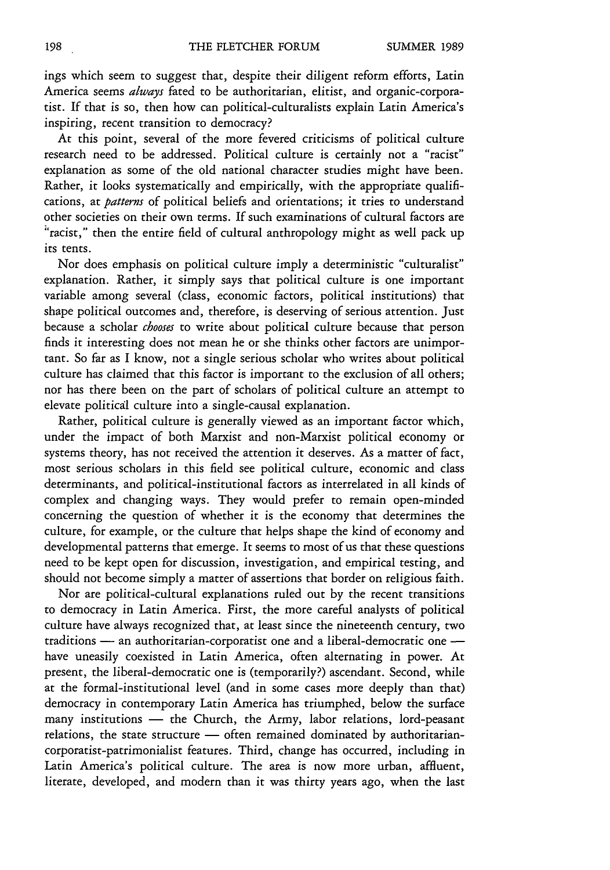ings which seem to suggest that, despite their diligent reform efforts, Latin America seems *always* fated to be authoritarian, elitist, and organic-corporatist. If that is so, then how can political-culturalists explain Latin America's inspiring, recent transition to democracy?

At this point, several of the more fevered criticisms of political culture research need to be addressed. Political culture is certainly not a "racist" explanation as some of the old national character studies might have been. Rather, it looks systematically and empirically, with the appropriate qualifications, at *patterns* of political beliefs and orientations; it tries to understand other societies on their own terms. If such examinations of cultural factors are "racist," then the entire field of cultural anthropology might as well pack up its tents.

Nor does emphasis on political culture imply a deterministic "culturalist" explanation. Rather, it simply says that political culture is one important variable among several (class, economic factors, political institutions) that shape political outcomes and, therefore, is deserving of serious attention. Just because a scholar *chooses* to write about political culture because that person finds it interesting does not mean he or she thinks other factors are unimportant. So far as I know, not a single serious scholar who writes about political culture has claimed that this factor is important to the exclusion of all others; nor has there been on the part of scholars of political culture an attempt to elevate politicdl culture into a single-causal explanation.

Rather, political culture is generally viewed as an important factor which, under the impact of both Marxist and non-Marxist political economy or systems theory, has not received the attention it deserves. As a matter of fact, most serious scholars in this field see political culture, economic and class determinants, and political-institutional factors as interrelated in all kinds of complex and changing ways. They would prefer to remain open-minded concerning the question of whether it is the economy that determines the culture, for example, or the culture that helps shape the kind of economy and developmental patterns that emerge. It seems to most of us that these questions need to be kept open for discussion, investigation, and empirical testing, and should not become simply a matter of assertions that border on religious faith.

Nor are political-cultural explanations ruled out by the recent transitions to democracy in Latin America. First, the more careful analysts of political culture have always recognized that, at least since the nineteenth century, two traditions - an authoritarian-corporatist one and a liberal-democratic one  have uneasily coexisted in Latin America, often alternating in power. At present, the liberal-democratic one is (temporarily?) ascendant. Second, while at the formal-institutional level (and in some cases more deeply than that) democracy in contemporary Latin America has triumphed, below the surface many institutions - the Church, the Army, labor relations, lord-peasant relations, the state structure  $-$  often remained dominated by authoritariancorporatist-patrimonialist features. Third, change has occurred, including in Latin America's political culture. The area is now more urban, affluent, literate, developed, and modern than it was thirty years ago, when the last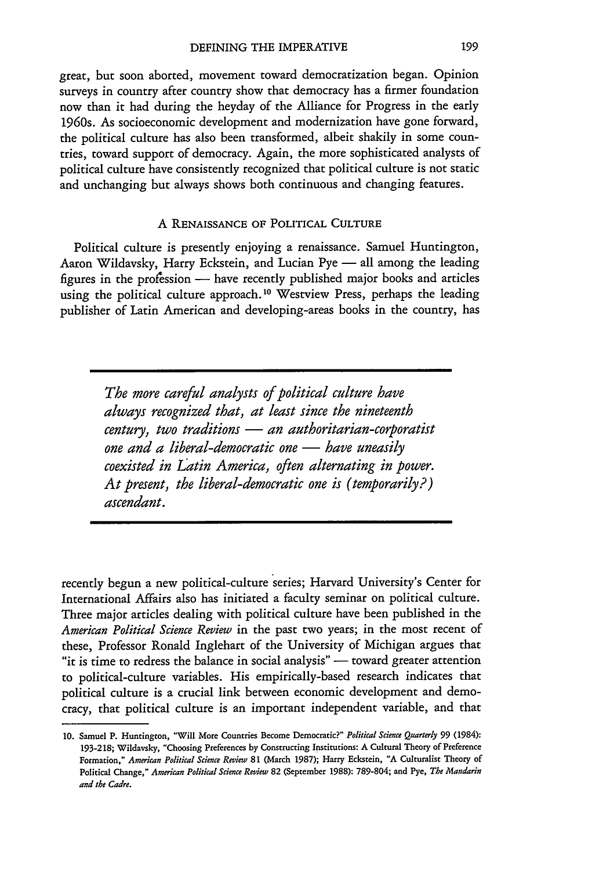great, but soon aborted, movement toward democratization began. Opinion surveys in country after country show that democracy has a firmer foundation now than it had during the heyday of the Alliance for Progress in the early 1960s. As socioeconomic development and modernization have gone forward, the political culture has also been transformed, albeit shakily in some countries, toward support of democracy. Again, the more sophisticated analysts of political culture have consistently recognized that political culture is not static and unchanging but always shows both continuous and changing features.

#### A **RENAISSANCE** OF POLITICAL **CULTURE**

Political culture is presently enjoying a renaissance. Samuel Huntington, Aaron Wildavsky, Harry Eckstein, and Lucian Pye - all among the leading figures in the profession - have recently published major books and articles using the political culture approach.<sup>10</sup> Westview Press, perhaps the leading publisher of Latin American and developing-areas books in the country, has

> *The more careful analysts of political culture have always recognized that, at least since the nineteenth century, two traditions* - *an authoritarian-corporatist one and a liberal-democratic one* — *have uneasily coexisted in Latin America, often alternating in power. At present, the liberal-democratic one is (temporarily?) ascendant.*

recently begun a new political-culture series; Harvard University's Center for International Affairs also has initiated a faculty seminar on political culture. Three major articles dealing with political culture have been published in the *American Political Science Review* in the past two years; in the most recent of these, Professor Ronald Inglehart of the University of Michigan argues that "it is time to redress the balance in social analysis" - toward greater attention to political-culture variables. His empirically-based research indicates that political culture is a crucial link between economic development and democracy, that political culture is an important independent variable, and that

**<sup>10.</sup>** Samuel **P.** Huntington, "Will **More** Countries Become Democratic?" Political Science Quarterly **99** (1984): **193-218;** Wildavsky, "Choosing Preferences **by** Constructing Institutions: **A** Cultural Theory **of** Preference **Formation,"** *American Political Science Review* **81** (March **1987);** Harry Eckstein, **"A** Culturalist Theory **of** Political Change," *American Political Science Review* 82 (September **1988): 789-804; and** Pye, *The Mandarin and the Cadre.*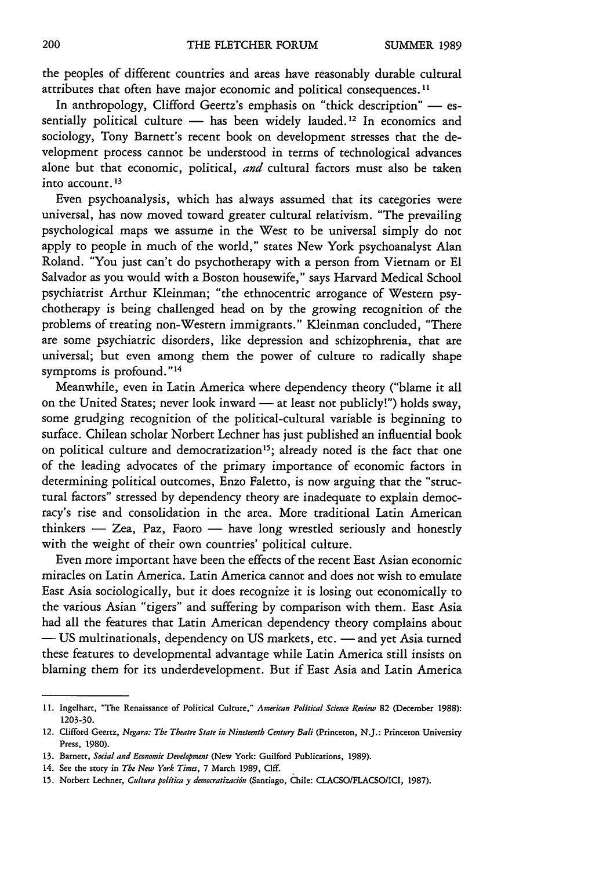the peoples of different countries and areas have reasonably durable cultural attributes that often have major economic and political consequences. **I**

In anthropology, Clifford Geertz's emphasis on "thick description" - essentially political culture  $-$  has been widely lauded.<sup>12</sup> In economics and sociology, Tony Barnett's recent book on development stresses that the development process cannot be understood in terms of technological advances alone but that economic, political, *and* cultural factors must also be taken into account. **<sup>13</sup>**

Even psychoanalysis, which has always assumed that its categories were universal, has now moved toward greater cultural relativism. "The prevailing psychological maps we assume in the West to be universal simply do not apply to people in much of the world," states New York psychoanalyst Alan Roland. "You just can't do psychotherapy with a person from Vietnam or El Salvador as you would with a Boston housewife," says Harvard Medical School psychiatrist Arthur Kleinman; "the ethnocentric arrogance of Western psychotherapy is being challenged head on by the growing recognition of the problems of treating non-Western immigrants." Kleinman concluded, "There are some psychiatric disorders, like depression and schizophrenia, that are universal; but even among them the power of culture to radically shape symptoms is profound."<sup>14</sup>

Meanwhile, even in Latin America where dependency theory ("blame it all on the United States; never look inward - at least not publicly!") holds sway, some grudging recognition of the political-cultural variable is beginning to surface. Chilean scholar Norbert Lechner has just published an influential book on political culture and democratization<sup>15</sup>; already noted is the fact that one of the leading advocates of the primary importance of economic factors in determining political outcomes, Enzo Faletto, is now arguing that the "structural factors" stressed by dependency theory are inadequate to explain democracy's rise and consolidation in the area. More traditional Latin American  $thinkers$  - Zea, Paz, Faoro - have long wrestled seriously and honestly with the weight of their own countries' political culture.

Even more important have been the effects of the recent East Asian economic miracles on Latin America. Latin America cannot and does not wish to emulate East Asia sociologically, but it does recognize it is losing out economically to the various Asian "tigers" and suffering by comparison with them. East Asia had all the features that Latin American dependency theory complains about  $-$  **US** multinationals, dependency on US markets, etc.  $-$  and yet Asia turned these features to developmental advantage while Latin America still insists on blaming them for its underdevelopment. But if East Asia and Latin America

**<sup>11.</sup>** Ingelhart, "The Renaissance **of** Political Culture," *American Political Science Review* **82** (December **1988): 1203-30.**

<sup>12.</sup> Clifford Geertz, *Negara: The Theatre State in Nineteenth Century Bali* (Princeton, **N.J.:** Princeton University Press, **1980).**

**<sup>13.</sup>** Barnett, *Social and Economic Development* (New **York:** Guilford Publications, **1989).**

**<sup>14.</sup>** See the story in *The New York Times,* 7 **March 1989,** Cliff.

**<sup>15.</sup>** Norbert Lechner, *Cultura politica y democratizacidn* (Santiago, Chile: CLACSO/FLACSO/ICI, **1987).**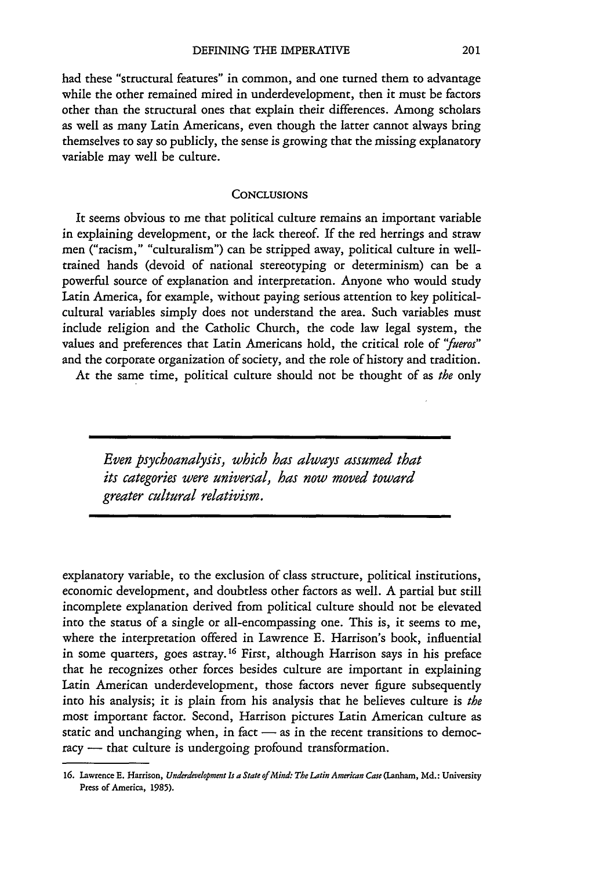had these "structural features" in common, and one turned them to advantage while the other remained mired in underdevelopment, then it must be factors other than the structural ones that explain their differences. Among scholars as well as many Latin Americans, even though the latter cannot always bring themselves to say so publicly, the sense is growing that the missing explanatory variable may well be culture.

#### **CONCLUSIONS**

It seems obvious to me that political culture remains an important variable in explaining development, or the lack thereof. If the red herrings and straw men ("racism," "culturalism") can be stripped away, political culture in welltrained hands (devoid of national stereotyping or determinism) can be a powerful source of explanation and interpretation. Anyone who would study Latin America, for example, without paying serious attention to key politicalcultural variables simply does not understand the area. Such variables must include religion and the Catholic Church, the code law legal system, the values and preferences that Latin Americans hold, the critical role of *"fueros"* and the corporate organization of society, and the role of history and tradition.

At the same time, political culture should not be thought of as *the* only

*Even psychoanalysis, which has always assumed that its categories were universal, has now moved toward greater cultural relativism.*

explanatory variable, to the exclusion of class structure, political institutions, economic development, and doubtless other factors as well. A partial but still incomplete explanation derived from political culture should not be elevated into the status of a single or all-encompassing one. This is, it seems to me, where the interpretation offered in Lawrence E. Harrison's book, influential in some quarters, goes astray.16 First, although Harrison says in his preface that he recognizes other forces besides culture are important in explaining Latin American underdevelopment, those factors never figure subsequently into his analysis; it is plain from his analysis that he believes culture is *the* most important factor. Second, Harrison pictures Latin American culture as static and unchanging when, in fact  $-$  as in the recent transitions to democracy - that culture is undergoing profound transformation.

**<sup>16.</sup>** Lawrence **E.** Harrison, *Underdevlopment Is a State of Mind: The Latin American Case* (Lanham, **Md.:** University Press **of** America, **1985).**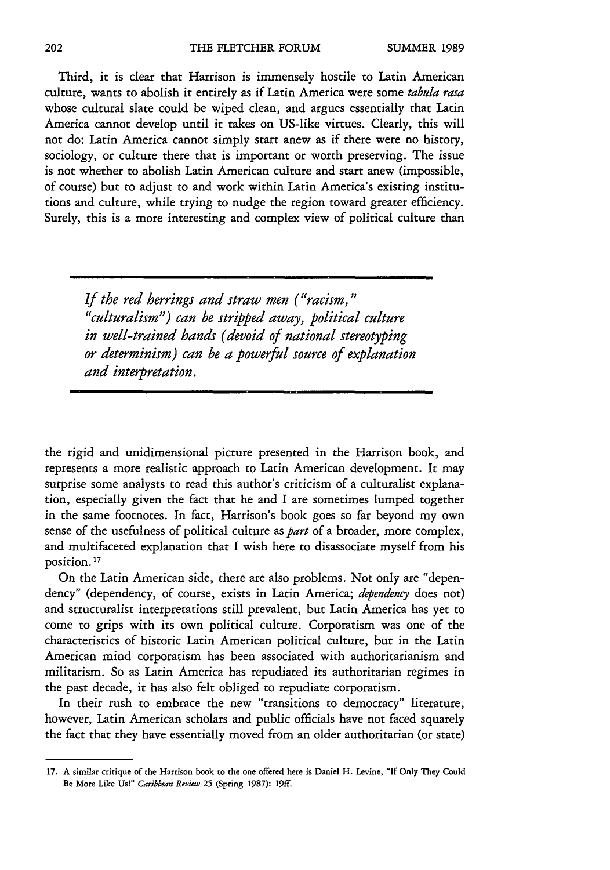Third, it is clear that Harrison is immensely hostile to Latin American culture, wants to abolish it entirely as if Latin America were some *tabula rasa* whose cultural slate could be wiped clean, and argues essentially that Latin America cannot develop until it takes on US-like virtues. Clearly, this will not do: Latin America cannot simply start anew as if there were no history, sociology, or culture there that is important or worth preserving. The issue is not whether to abolish Latin American culture and start anew (impossible, of course) but to adjust to and work within Latin America's existing institutions and culture, while trying to nudge the region toward greater efficiency. Surely, this is a more interesting and complex view of political culture than

*If the red herrings and straw men ("racism," "culturalism") can be stripped away, political culture in well-trained hands (devoid of national stereotyping or determinism) can be a powerful source of explanation and interpretation.*

the rigid and unidimensional picture presented in the Harrison book, and represents a more realistic approach to Latin American development. It may surprise some analysts to read this author's criticism of a culturalist explanation, especially given the fact that he and I are sometimes lumped together in the same footnotes. In fact, Harrison's book goes so far beyond my own sense of the usefulness of political culture as *part* of a broader, more complex, and multifaceted explanation that I wish here to disassociate myself from his position. **17**

On the Latin American side, there are also problems. Not only are "dependency" (dependency, of course, exists in Latin America; *dependency* does not) and structuralist interpretations still prevalent, but Latin America has yet to come to grips with its own political culture. Corporatism was one of the characteristics of historic Latin American political culture, but in the Latin American mind corporatism has been associated with authoritarianism and militarism. So as Latin America has repudiated its authoritarian regimes in the past decade, it has also felt obliged to repudiate corporatism.

In their rush to embrace the new "transitions to democracy" literature, however, Latin American scholars and public officials have not faced squarely the fact that they have essentially moved from an older authoritarian (or state)

**<sup>17.</sup> A** similar critique of the Harrison **book to** the one offered here is Daniel H. Levine, "If Only They Could Be **More** Like Us!" *Caribbean Review* **25** (Spring **1987): 19ff.**